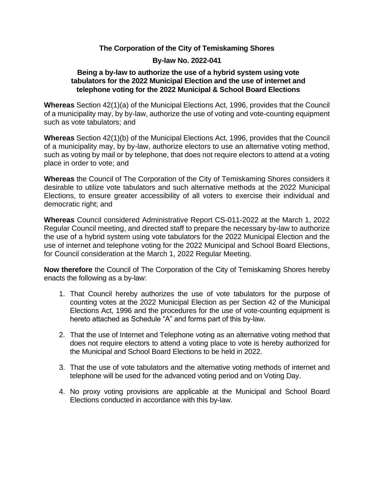#### **The Corporation of the City of Temiskaming Shores**

### **By-law No. 2022-041**

#### **Being a by-law to authorize the use of a hybrid system using vote tabulators for the 2022 Municipal Election and the use of internet and telephone voting for the 2022 Municipal & School Board Elections**

**Whereas** Section 42(1)(a) of the Municipal Elections Act, 1996, provides that the Council of a municipality may, by by-law, authorize the use of voting and vote-counting equipment such as vote tabulators; and

**Whereas** Section 42(1)(b) of the Municipal Elections Act, 1996, provides that the Council of a municipality may, by by-law, authorize electors to use an alternative voting method, such as voting by mail or by telephone, that does not require electors to attend at a voting place in order to vote; and

**Whereas** the Council of The Corporation of the City of Temiskaming Shores considers it desirable to utilize vote tabulators and such alternative methods at the 2022 Municipal Elections, to ensure greater accessibility of all voters to exercise their individual and democratic right; and

**Whereas** Council considered Administrative Report CS-011-2022 at the March 1, 2022 Regular Council meeting, and directed staff to prepare the necessary by-law to authorize the use of a hybrid system using vote tabulators for the 2022 Municipal Election and the use of internet and telephone voting for the 2022 Municipal and School Board Elections, for Council consideration at the March 1, 2022 Regular Meeting.

**Now therefore** the Council of The Corporation of the City of Temiskaming Shores hereby enacts the following as a by-law:

- 1. That Council hereby authorizes the use of vote tabulators for the purpose of counting votes at the 2022 Municipal Election as per Section 42 of the Municipal Elections Act, 1996 and the procedures for the use of vote-counting equipment is hereto attached as Schedule "A" and forms part of this by-law.
- 2. That the use of Internet and Telephone voting as an alternative voting method that does not require electors to attend a voting place to vote is hereby authorized for the Municipal and School Board Elections to be held in 2022.
- 3. That the use of vote tabulators and the alternative voting methods of internet and telephone will be used for the advanced voting period and on Voting Day.
- 4. No proxy voting provisions are applicable at the Municipal and School Board Elections conducted in accordance with this by-law.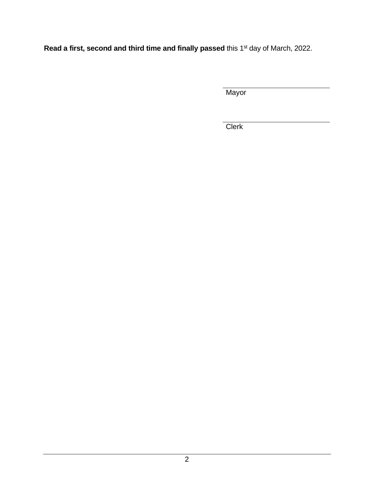Read a first, second and third time and finally passed this 1<sup>st</sup> day of March, 2022.

**Mayor** 

**Clerk**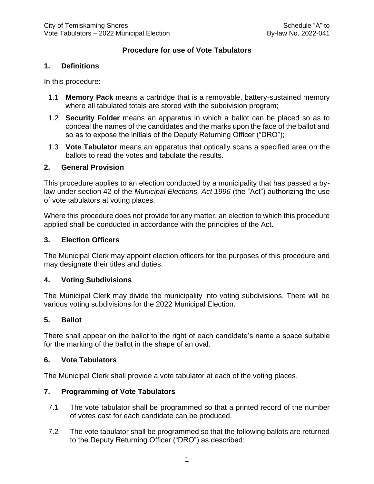# **Procedure for use of Vote Tabulators**

#### **1. Definitions**

In this procedure:

- 1.1 **Memory Pack** means a cartridge that is a removable, battery-sustained memory where all tabulated totals are stored with the subdivision program;
- 1.2 **Security Folder** means an apparatus in which a ballot can be placed so as to conceal the names of the candidates and the marks upon the face of the ballot and so as to expose the initials of the Deputy Returning Officer ("DRO");
- 1.3 **Vote Tabulator** means an apparatus that optically scans a specified area on the ballots to read the votes and tabulate the results.

#### **2. General Provision**

This procedure applies to an election conducted by a municipality that has passed a bylaw under section 42 of the *Municipal Elections, Act 1996* (the "Act") authorizing the use of vote tabulators at voting places.

Where this procedure does not provide for any matter, an election to which this procedure applied shall be conducted in accordance with the principles of the Act.

### **3. Election Officers**

The Municipal Clerk may appoint election officers for the purposes of this procedure and may designate their titles and duties.

#### **4. Voting Subdivisions**

The Municipal Clerk may divide the municipality into voting subdivisions. There will be various voting subdivisions for the 2022 Municipal Election.

# **5. Ballot**

There shall appear on the ballot to the right of each candidate's name a space suitable for the marking of the ballot in the shape of an oval.

#### **6. Vote Tabulators**

The Municipal Clerk shall provide a vote tabulator at each of the voting places.

# **7. Programming of Vote Tabulators**

- 7.1 The vote tabulator shall be programmed so that a printed record of the number of votes cast for each candidate can be produced.
- 7.2 The vote tabulator shall be programmed so that the following ballots are returned to the Deputy Returning Officer ("DRO") as described: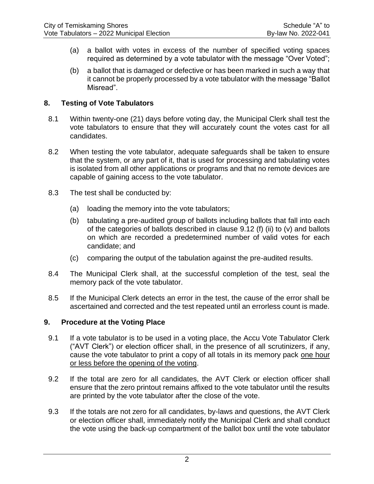- (a) a ballot with votes in excess of the number of specified voting spaces required as determined by a vote tabulator with the message "Over Voted";
- (b) a ballot that is damaged or defective or has been marked in such a way that it cannot be properly processed by a vote tabulator with the message "Ballot Misread".

### **8. Testing of Vote Tabulators**

- 8.1 Within twenty-one (21) days before voting day, the Municipal Clerk shall test the vote tabulators to ensure that they will accurately count the votes cast for all candidates.
- 8.2 When testing the vote tabulator, adequate safeguards shall be taken to ensure that the system, or any part of it, that is used for processing and tabulating votes is isolated from all other applications or programs and that no remote devices are capable of gaining access to the vote tabulator.
- 8.3 The test shall be conducted by:
	- (a) loading the memory into the vote tabulators;
	- (b) tabulating a pre-audited group of ballots including ballots that fall into each of the categories of ballots described in clause 9.12 (f) (ii) to (v) and ballots on which are recorded a predetermined number of valid votes for each candidate; and
	- (c) comparing the output of the tabulation against the pre-audited results.
- 8.4 The Municipal Clerk shall, at the successful completion of the test, seal the memory pack of the vote tabulator.
- 8.5 If the Municipal Clerk detects an error in the test, the cause of the error shall be ascertained and corrected and the test repeated until an errorless count is made.

# **9. Procedure at the Voting Place**

- 9.1 If a vote tabulator is to be used in a voting place, the Accu Vote Tabulator Clerk ("AVT Clerk") or election officer shall, in the presence of all scrutinizers, if any, cause the vote tabulator to print a copy of all totals in its memory pack one hour or less before the opening of the voting.
- 9.2 If the total are zero for all candidates, the AVT Clerk or election officer shall ensure that the zero printout remains affixed to the vote tabulator until the results are printed by the vote tabulator after the close of the vote.
- 9.3 If the totals are not zero for all candidates, by-laws and questions, the AVT Clerk or election officer shall, immediately notify the Municipal Clerk and shall conduct the vote using the back-up compartment of the ballot box until the vote tabulator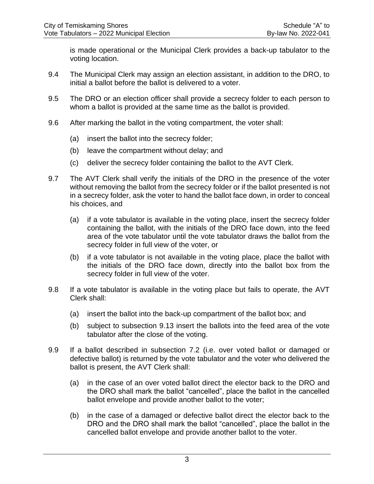is made operational or the Municipal Clerk provides a back-up tabulator to the voting location.

- 9.4 The Municipal Clerk may assign an election assistant, in addition to the DRO, to initial a ballot before the ballot is delivered to a voter.
- 9.5 The DRO or an election officer shall provide a secrecy folder to each person to whom a ballot is provided at the same time as the ballot is provided.
- 9.6 After marking the ballot in the voting compartment, the voter shall:
	- (a) insert the ballot into the secrecy folder;
	- (b) leave the compartment without delay; and
	- (c) deliver the secrecy folder containing the ballot to the AVT Clerk.
- 9.7 The AVT Clerk shall verify the initials of the DRO in the presence of the voter without removing the ballot from the secrecy folder or if the ballot presented is not in a secrecy folder, ask the voter to hand the ballot face down, in order to conceal his choices, and
	- (a) if a vote tabulator is available in the voting place, insert the secrecy folder containing the ballot, with the initials of the DRO face down, into the feed area of the vote tabulator until the vote tabulator draws the ballot from the secrecy folder in full view of the voter, or
	- (b) if a vote tabulator is not available in the voting place, place the ballot with the initials of the DRO face down, directly into the ballot box from the secrecy folder in full view of the voter.
- 9.8 If a vote tabulator is available in the voting place but fails to operate, the AVT Clerk shall:
	- (a) insert the ballot into the back-up compartment of the ballot box; and
	- (b) subject to subsection 9.13 insert the ballots into the feed area of the vote tabulator after the close of the voting.
- 9.9 If a ballot described in subsection 7.2 (i.e. over voted ballot or damaged or defective ballot) is returned by the vote tabulator and the voter who delivered the ballot is present, the AVT Clerk shall:
	- (a) in the case of an over voted ballot direct the elector back to the DRO and the DRO shall mark the ballot "cancelled", place the ballot in the cancelled ballot envelope and provide another ballot to the voter;
	- (b) in the case of a damaged or defective ballot direct the elector back to the DRO and the DRO shall mark the ballot "cancelled", place the ballot in the cancelled ballot envelope and provide another ballot to the voter.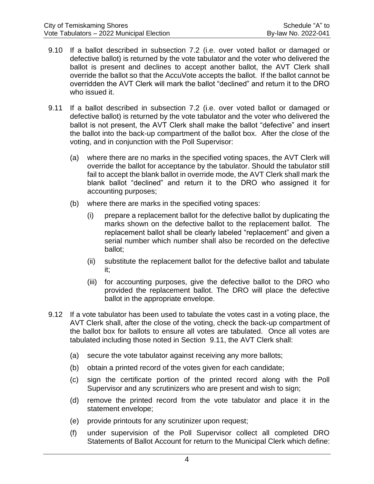- 9.10 If a ballot described in subsection 7.2 (i.e. over voted ballot or damaged or defective ballot) is returned by the vote tabulator and the voter who delivered the ballot is present and declines to accept another ballot, the AVT Clerk shall override the ballot so that the AccuVote accepts the ballot. If the ballot cannot be overridden the AVT Clerk will mark the ballot "declined" and return it to the DRO who issued it.
- 9.11 If a ballot described in subsection 7.2 (i.e. over voted ballot or damaged or defective ballot) is returned by the vote tabulator and the voter who delivered the ballot is not present, the AVT Clerk shall make the ballot "defective" and insert the ballot into the back-up compartment of the ballot box. After the close of the voting, and in conjunction with the Poll Supervisor:
	- (a) where there are no marks in the specified voting spaces, the AVT Clerk will override the ballot for acceptance by the tabulator. Should the tabulator still fail to accept the blank ballot in override mode, the AVT Clerk shall mark the blank ballot "declined" and return it to the DRO who assigned it for accounting purposes;
	- (b) where there are marks in the specified voting spaces:
		- (i) prepare a replacement ballot for the defective ballot by duplicating the marks shown on the defective ballot to the replacement ballot. The replacement ballot shall be clearly labeled "replacement" and given a serial number which number shall also be recorded on the defective ballot;
		- (ii) substitute the replacement ballot for the defective ballot and tabulate it;
		- (iii) for accounting purposes, give the defective ballot to the DRO who provided the replacement ballot. The DRO will place the defective ballot in the appropriate envelope.
- 9.12 If a vote tabulator has been used to tabulate the votes cast in a voting place, the AVT Clerk shall, after the close of the voting, check the back-up compartment of the ballot box for ballots to ensure all votes are tabulated. Once all votes are tabulated including those noted in Section 9.11, the AVT Clerk shall:
	- (a) secure the vote tabulator against receiving any more ballots;
	- (b) obtain a printed record of the votes given for each candidate;
	- (c) sign the certificate portion of the printed record along with the Poll Supervisor and any scrutinizers who are present and wish to sign;
	- (d) remove the printed record from the vote tabulator and place it in the statement envelope;
	- (e) provide printouts for any scrutinizer upon request;
	- (f) under supervision of the Poll Supervisor collect all completed DRO Statements of Ballot Account for return to the Municipal Clerk which define: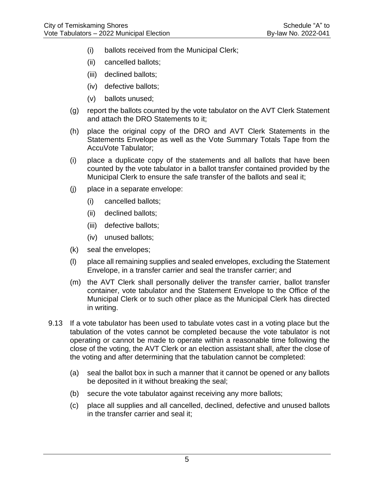- (i) ballots received from the Municipal Clerk;
- (ii) cancelled ballots;
- (iii) declined ballots;
- (iv) defective ballots;
- (v) ballots unused;
- (g) report the ballots counted by the vote tabulator on the AVT Clerk Statement and attach the DRO Statements to it;
- (h) place the original copy of the DRO and AVT Clerk Statements in the Statements Envelope as well as the Vote Summary Totals Tape from the AccuVote Tabulator;
- (i) place a duplicate copy of the statements and all ballots that have been counted by the vote tabulator in a ballot transfer contained provided by the Municipal Clerk to ensure the safe transfer of the ballots and seal it;
- (j) place in a separate envelope:
	- (i) cancelled ballots;
	- (ii) declined ballots;
	- (iii) defective ballots;
	- (iv) unused ballots;
- (k) seal the envelopes;
- (l) place all remaining supplies and sealed envelopes, excluding the Statement Envelope, in a transfer carrier and seal the transfer carrier; and
- (m) the AVT Clerk shall personally deliver the transfer carrier, ballot transfer container, vote tabulator and the Statement Envelope to the Office of the Municipal Clerk or to such other place as the Municipal Clerk has directed in writing.
- 9.13 If a vote tabulator has been used to tabulate votes cast in a voting place but the tabulation of the votes cannot be completed because the vote tabulator is not operating or cannot be made to operate within a reasonable time following the close of the voting, the AVT Clerk or an election assistant shall, after the close of the voting and after determining that the tabulation cannot be completed:
	- (a) seal the ballot box in such a manner that it cannot be opened or any ballots be deposited in it without breaking the seal;
	- (b) secure the vote tabulator against receiving any more ballots;
	- (c) place all supplies and all cancelled, declined, defective and unused ballots in the transfer carrier and seal it;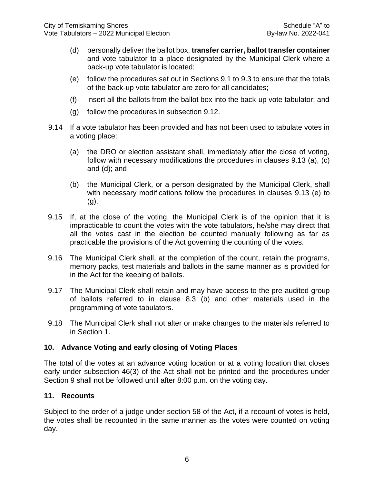- (d) personally deliver the ballot box, **transfer carrier, ballot transfer container**  and vote tabulator to a place designated by the Municipal Clerk where a back-up vote tabulator is located;
- (e) follow the procedures set out in Sections 9.1 to 9.3 to ensure that the totals of the back-up vote tabulator are zero for all candidates;
- (f) insert all the ballots from the ballot box into the back-up vote tabulator; and
- (g) follow the procedures in subsection 9.12.
- 9.14 If a vote tabulator has been provided and has not been used to tabulate votes in a voting place:
	- (a) the DRO or election assistant shall, immediately after the close of voting, follow with necessary modifications the procedures in clauses 9.13 (a), (c) and (d); and
	- (b) the Municipal Clerk, or a person designated by the Municipal Clerk, shall with necessary modifications follow the procedures in clauses 9.13 (e) to (g).
- 9.15 If, at the close of the voting, the Municipal Clerk is of the opinion that it is impracticable to count the votes with the vote tabulators, he/she may direct that all the votes cast in the election be counted manually following as far as practicable the provisions of the Act governing the counting of the votes.
- 9.16 The Municipal Clerk shall, at the completion of the count, retain the programs, memory packs, test materials and ballots in the same manner as is provided for in the Act for the keeping of ballots.
- 9.17 The Municipal Clerk shall retain and may have access to the pre-audited group of ballots referred to in clause 8.3 (b) and other materials used in the programming of vote tabulators.
- 9.18 The Municipal Clerk shall not alter or make changes to the materials referred to in Section 1.

# **10. Advance Voting and early closing of Voting Places**

The total of the votes at an advance voting location or at a voting location that closes early under subsection 46(3) of the Act shall not be printed and the procedures under Section 9 shall not be followed until after 8:00 p.m. on the voting day.

# **11. Recounts**

Subject to the order of a judge under section 58 of the Act, if a recount of votes is held, the votes shall be recounted in the same manner as the votes were counted on voting day.